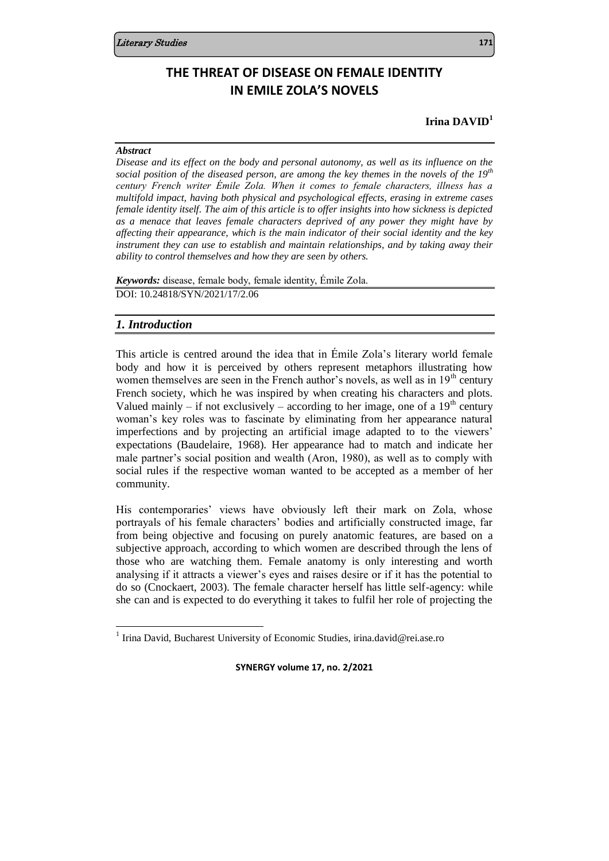# **THE THREAT OF DISEASE ON FEMALE IDENTITY IN EMILE ZOLA'S NOVELS**

## **Irina DAVID<sup>1</sup>**

### *Abstract*

*Disease and its effect on the body and personal autonomy, as well as its influence on the social position of the diseased person, are among the key themes in the novels of the 19th century French writer Émile Zola. When it comes to female characters, illness has a multifold impact, having both physical and psychological effects, erasing in extreme cases female identity itself. The aim of this article is to offer insights into how sickness is depicted as a menace that leaves female characters deprived of any power they might have by affecting their appearance, which is the main indicator of their social identity and the key instrument they can use to establish and maintain relationships, and by taking away their ability to control themselves and how they are seen by others.*

*Keywords:* disease, female body, female identity, Émile Zola. DOI: 10.24818/SYN/2021/17/2.06

## *1. Introduction*

j

This article is centred around the idea that in Émile Zola's literary world female body and how it is perceived by others represent metaphors illustrating how women themselves are seen in the French author's novels, as well as in  $19<sup>th</sup>$  century French society, which he was inspired by when creating his characters and plots. Valued mainly – if not exclusively – according to her image, one of a  $19<sup>th</sup>$  century woman's key roles was to fascinate by eliminating from her appearance natural imperfections and by projecting an artificial image adapted to to the viewers' expectations (Baudelaire, 1968). Her appearance had to match and indicate her male partner's social position and wealth (Aron, 1980), as well as to comply with social rules if the respective woman wanted to be accepted as a member of her community.

His contemporaries' views have obviously left their mark on Zola, whose portrayals of his female characters' bodies and artificially constructed image, far from being objective and focusing on purely anatomic features, are based on a subjective approach, according to which women are described through the lens of those who are watching them. Female anatomy is only interesting and worth analysing if it attracts a viewer's eyes and raises desire or if it has the potential to do so (Cnockaert, 2003). The female character herself has little self-agency: while she can and is expected to do everything it takes to fulfil her role of projecting the

<sup>&</sup>lt;sup>1</sup> Irina David, Bucharest University of Economic Studies, irina.david@rei.ase.ro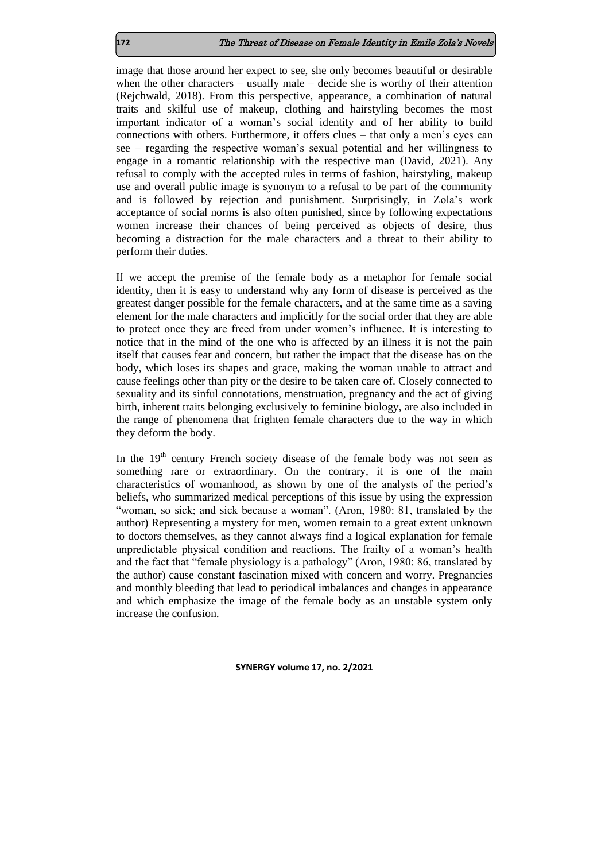image that those around her expect to see, she only becomes beautiful or desirable when the other characters – usually male – decide she is worthy of their attention (Rejchwald, 2018). From this perspective, appearance, a combination of natural traits and skilful use of makeup, clothing and hairstyling becomes the most important indicator of a woman's social identity and of her ability to build connections with others. Furthermore, it offers clues – that only a men's eyes can see – regarding the respective woman's sexual potential and her willingness to engage in a romantic relationship with the respective man (David, 2021). Any refusal to comply with the accepted rules in terms of fashion, hairstyling, makeup use and overall public image is synonym to a refusal to be part of the community and is followed by rejection and punishment. Surprisingly, in Zola's work acceptance of social norms is also often punished, since by following expectations women increase their chances of being perceived as objects of desire, thus becoming a distraction for the male characters and a threat to their ability to perform their duties.

If we accept the premise of the female body as a metaphor for female social identity, then it is easy to understand why any form of disease is perceived as the greatest danger possible for the female characters, and at the same time as a saving element for the male characters and implicitly for the social order that they are able to protect once they are freed from under women's influence. It is interesting to notice that in the mind of the one who is affected by an illness it is not the pain itself that causes fear and concern, but rather the impact that the disease has on the body, which loses its shapes and grace, making the woman unable to attract and cause feelings other than pity or the desire to be taken care of. Closely connected to sexuality and its sinful connotations, menstruation, pregnancy and the act of giving birth, inherent traits belonging exclusively to feminine biology, are also included in the range of phenomena that frighten female characters due to the way in which they deform the body.

In the  $19<sup>th</sup>$  century French society disease of the female body was not seen as something rare or extraordinary. On the contrary, it is one of the main characteristics of womanhood, as shown by one of the analysts of the period's beliefs, who summarized medical perceptions of this issue by using the expression "woman, so sick; and sick because a woman". (Aron, 1980: 81, translated by the author) Representing a mystery for men, women remain to a great extent unknown to doctors themselves, as they cannot always find a logical explanation for female unpredictable physical condition and reactions. The frailty of a woman's health and the fact that "female physiology is a pathology" (Aron, 1980: 86, translated by the author) cause constant fascination mixed with concern and worry. Pregnancies and monthly bleeding that lead to periodical imbalances and changes in appearance and which emphasize the image of the female body as an unstable system only increase the confusion.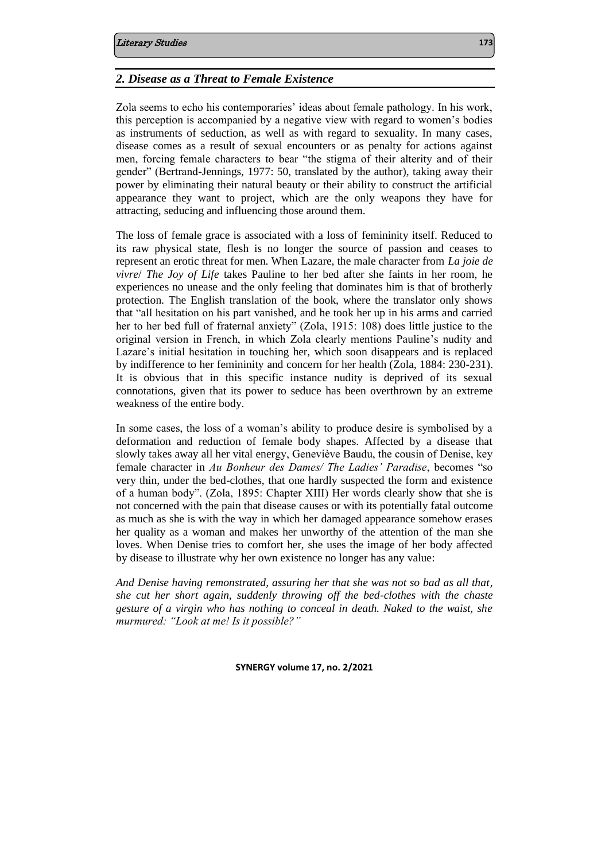## *2. Disease as a Threat to Female Existence*

Zola seems to echo his contemporaries' ideas about female pathology. In his work, this perception is accompanied by a negative view with regard to women's bodies as instruments of seduction, as well as with regard to sexuality. In many cases, disease comes as a result of sexual encounters or as penalty for actions against men, forcing female characters to bear "the stigma of their alterity and of their gender" (Bertrand-Jennings, 1977: 50, translated by the author), taking away their power by eliminating their natural beauty or their ability to construct the artificial appearance they want to project, which are the only weapons they have for attracting, seducing and influencing those around them.

The loss of female grace is associated with a loss of femininity itself. Reduced to its raw physical state, flesh is no longer the source of passion and ceases to represent an erotic threat for men. When Lazare, the male character from *La joie de vivre*/ *The Joy of Life* takes Pauline to her bed after she faints in her room, he experiences no unease and the only feeling that dominates him is that of brotherly protection. The English translation of the book, where the translator only shows that "all hesitation on his part vanished, and he took her up in his arms and carried her to her bed full of fraternal anxiety" (Zola, 1915: 108) does little justice to the original version in French, in which Zola clearly mentions Pauline's nudity and Lazare's initial hesitation in touching her, which soon disappears and is replaced by indifference to her femininity and concern for her health (Zola, 1884: 230-231). It is obvious that in this specific instance nudity is deprived of its sexual connotations, given that its power to seduce has been overthrown by an extreme weakness of the entire body.

In some cases, the loss of a woman's ability to produce desire is symbolised by a deformation and reduction of female body shapes. Affected by a disease that slowly takes away all her vital energy, Geneviève Baudu, the cousin of Denise, key female character in *Au Bonheur des Dames/ The Ladies' Paradise*, becomes "so very thin, under the bed-clothes, that one hardly suspected the form and existence of a human body". (Zola, 1895: Chapter XIII) Her words clearly show that she is not concerned with the pain that disease causes or with its potentially fatal outcome as much as she is with the way in which her damaged appearance somehow erases her quality as a woman and makes her unworthy of the attention of the man she loves. When Denise tries to comfort her, she uses the image of her body affected by disease to illustrate why her own existence no longer has any value:

*And Denise having remonstrated, assuring her that she was not so bad as all that, she cut her short again, suddenly throwing off the bed-clothes with the chaste gesture of a virgin who has nothing to conceal in death. Naked to the waist, she murmured: "Look at me! Is it possible?"*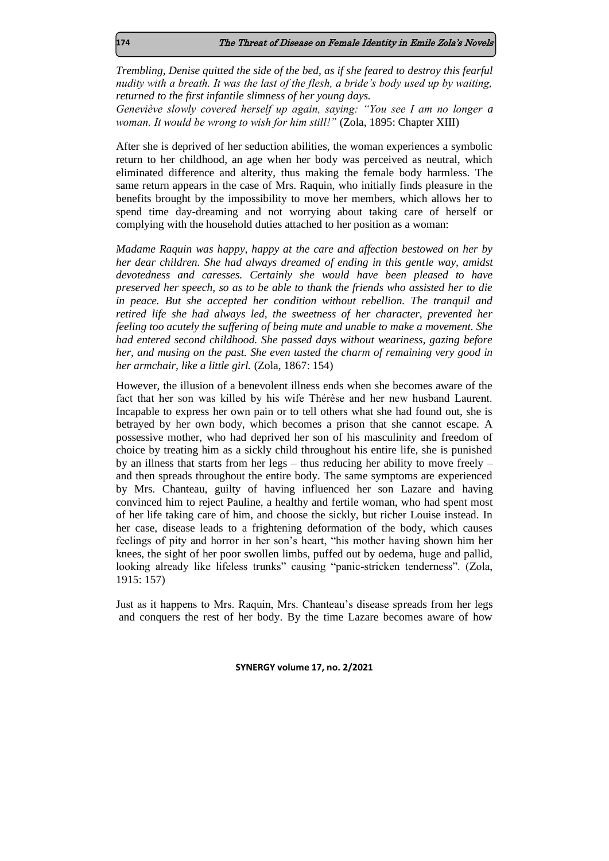*Trembling, Denise quitted the side of the bed, as if she feared to destroy this fearful nudity with a breath. It was the last of the flesh, a bride's body used up by waiting, returned to the first infantile slimness of her young days.*

*Geneviève slowly covered herself up again, saying: "You see I am no longer a woman. It would be wrong to wish for him still!"* (Zola, 1895: Chapter XIII)

After she is deprived of her seduction abilities, the woman experiences a symbolic return to her childhood, an age when her body was perceived as neutral, which eliminated difference and alterity, thus making the female body harmless. The same return appears in the case of Mrs. Raquin, who initially finds pleasure in the benefits brought by the impossibility to move her members, which allows her to spend time day-dreaming and not worrying about taking care of herself or complying with the household duties attached to her position as a woman:

*Madame Raquin was happy, happy at the care and affection bestowed on her by her dear children. She had always dreamed of ending in this gentle way, amidst devotedness and caresses. Certainly she would have been pleased to have preserved her speech, so as to be able to thank the friends who assisted her to die in peace. But she accepted her condition without rebellion. The tranquil and retired life she had always led, the sweetness of her character, prevented her feeling too acutely the suffering of being mute and unable to make a movement. She had entered second childhood. She passed days without weariness, gazing before her, and musing on the past. She even tasted the charm of remaining very good in her armchair, like a little girl.* (Zola, 1867: 154)

However, the illusion of a benevolent illness ends when she becomes aware of the fact that her son was killed by his wife Thérèse and her new husband Laurent. Incapable to express her own pain or to tell others what she had found out, she is betrayed by her own body, which becomes a prison that she cannot escape. A possessive mother, who had deprived her son of his masculinity and freedom of choice by treating him as a sickly child throughout his entire life, she is punished by an illness that starts from her legs – thus reducing her ability to move freely – and then spreads throughout the entire body. The same symptoms are experienced by Mrs. Chanteau, guilty of having influenced her son Lazare and having convinced him to reject Pauline, a healthy and fertile woman, who had spent most of her life taking care of him, and choose the sickly, but richer Louise instead. In her case, disease leads to a frightening deformation of the body, which causes feelings of pity and horror in her son's heart, "his mother having shown him her knees, the sight of her poor swollen limbs, puffed out by oedema, huge and pallid, looking already like lifeless trunks" causing "panic-stricken tenderness". (Zola, 1915: 157)

Just as it happens to Mrs. Raquin, Mrs. Chanteau's disease spreads from her legs and conquers the rest of her body. By the time Lazare becomes aware of how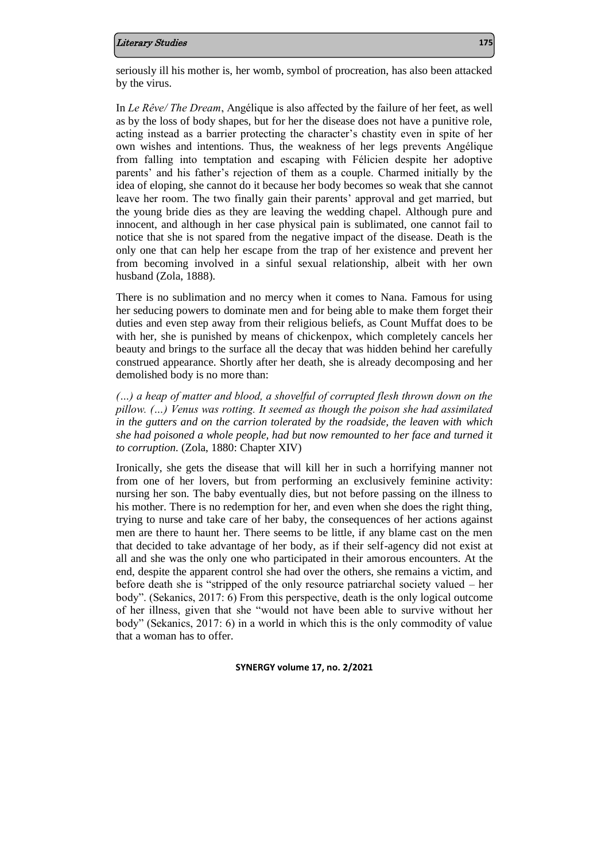#### Literary Studies **175**

seriously ill his mother is, her womb, symbol of procreation, has also been attacked by the virus.

In *Le Rêve/ The Dream*, Angélique is also affected by the failure of her feet, as well as by the loss of body shapes, but for her the disease does not have a punitive role, acting instead as a barrier protecting the character's chastity even in spite of her own wishes and intentions. Thus, the weakness of her legs prevents Angélique from falling into temptation and escaping with Félicien despite her adoptive parents' and his father's rejection of them as a couple. Charmed initially by the idea of eloping, she cannot do it because her body becomes so weak that she cannot leave her room. The two finally gain their parents' approval and get married, but the young bride dies as they are leaving the wedding chapel. Although pure and innocent, and although in her case physical pain is sublimated, one cannot fail to notice that she is not spared from the negative impact of the disease. Death is the only one that can help her escape from the trap of her existence and prevent her from becoming involved in a sinful sexual relationship, albeit with her own husband (Zola, 1888).

There is no sublimation and no mercy when it comes to Nana. Famous for using her seducing powers to dominate men and for being able to make them forget their duties and even step away from their religious beliefs, as Count Muffat does to be with her, she is punished by means of chickenpox, which completely cancels her beauty and brings to the surface all the decay that was hidden behind her carefully construed appearance. Shortly after her death, she is already decomposing and her demolished body is no more than:

*(…) a heap of matter and blood, a shovelful of corrupted flesh thrown down on the pillow. (…) Venus was rotting. It seemed as though the poison she had assimilated in the gutters and on the carrion tolerated by the roadside, the leaven with which she had poisoned a whole people, had but now remounted to her face and turned it to corruption.* (Zola, 1880: Chapter XIV)

Ironically, she gets the disease that will kill her in such a horrifying manner not from one of her lovers, but from performing an exclusively feminine activity: nursing her son. The baby eventually dies, but not before passing on the illness to his mother. There is no redemption for her, and even when she does the right thing, trying to nurse and take care of her baby, the consequences of her actions against men are there to haunt her. There seems to be little, if any blame cast on the men that decided to take advantage of her body, as if their self-agency did not exist at all and she was the only one who participated in their amorous encounters. At the end, despite the apparent control she had over the others, she remains a victim, and before death she is "stripped of the only resource patriarchal society valued – her body". (Sekanics, 2017: 6) From this perspective, death is the only logical outcome of her illness, given that she "would not have been able to survive without her body" (Sekanics, 2017: 6) in a world in which this is the only commodity of value that a woman has to offer.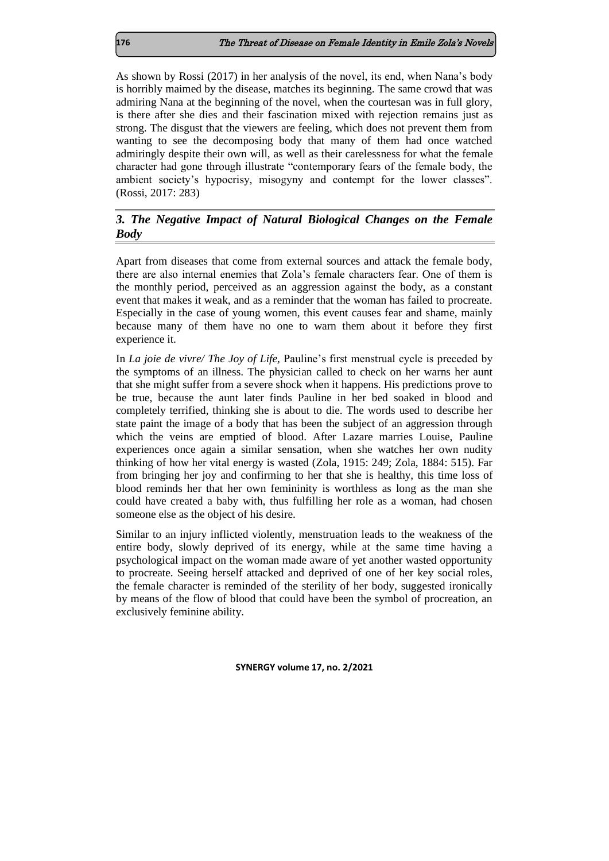As shown by Rossi (2017) in her analysis of the novel, its end, when Nana's body is horribly maimed by the disease, matches its beginning. The same crowd that was admiring Nana at the beginning of the novel, when the courtesan was in full glory, is there after she dies and their fascination mixed with rejection remains just as strong. The disgust that the viewers are feeling, which does not prevent them from wanting to see the decomposing body that many of them had once watched admiringly despite their own will, as well as their carelessness for what the female character had gone through illustrate "contemporary fears of the female body, the ambient society's hypocrisy, misogyny and contempt for the lower classes". (Rossi, 2017: 283)

## *3. The Negative Impact of Natural Biological Changes on the Female Body*

Apart from diseases that come from external sources and attack the female body, there are also internal enemies that Zola's female characters fear. One of them is the monthly period, perceived as an aggression against the body, as a constant event that makes it weak, and as a reminder that the woman has failed to procreate. Especially in the case of young women, this event causes fear and shame, mainly because many of them have no one to warn them about it before they first experience it.

In *La joie de vivre/ The Joy of Life,* Pauline's first menstrual cycle is preceded by the symptoms of an illness. The physician called to check on her warns her aunt that she might suffer from a severe shock when it happens. His predictions prove to be true, because the aunt later finds Pauline in her bed soaked in blood and completely terrified, thinking she is about to die. The words used to describe her state paint the image of a body that has been the subject of an aggression through which the veins are emptied of blood. After Lazare marries Louise, Pauline experiences once again a similar sensation, when she watches her own nudity thinking of how her vital energy is wasted (Zola, 1915: 249; Zola, 1884: 515). Far from bringing her joy and confirming to her that she is healthy, this time loss of blood reminds her that her own femininity is worthless as long as the man she could have created a baby with, thus fulfilling her role as a woman, had chosen someone else as the object of his desire.

Similar to an injury inflicted violently, menstruation leads to the weakness of the entire body, slowly deprived of its energy, while at the same time having a psychological impact on the woman made aware of yet another wasted opportunity to procreate. Seeing herself attacked and deprived of one of her key social roles, the female character is reminded of the sterility of her body, suggested ironically by means of the flow of blood that could have been the symbol of procreation, an exclusively feminine ability.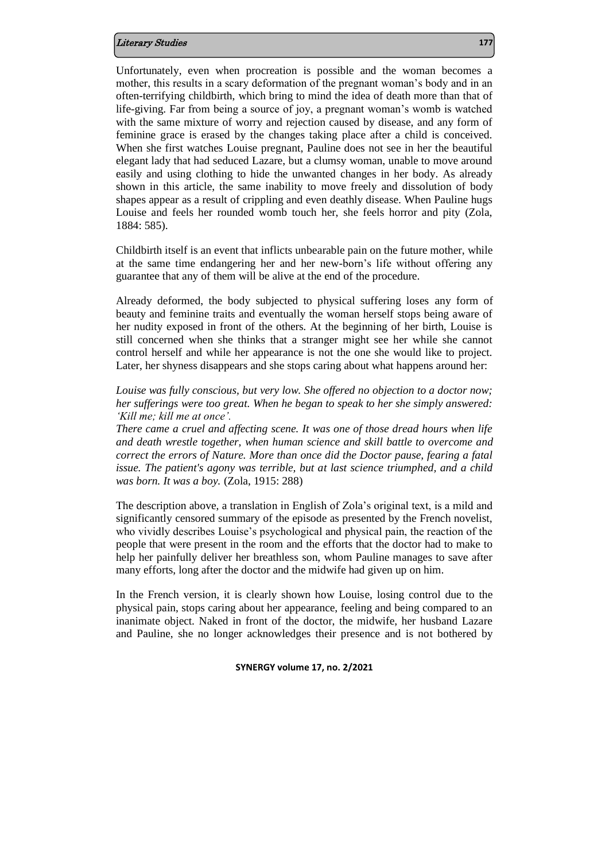### Literary Studies **177**

Unfortunately, even when procreation is possible and the woman becomes a mother, this results in a scary deformation of the pregnant woman's body and in an often-terrifying childbirth, which bring to mind the idea of death more than that of life-giving. Far from being a source of joy, a pregnant woman's womb is watched with the same mixture of worry and rejection caused by disease, and any form of feminine grace is erased by the changes taking place after a child is conceived. When she first watches Louise pregnant, Pauline does not see in her the beautiful elegant lady that had seduced Lazare, but a clumsy woman, unable to move around easily and using clothing to hide the unwanted changes in her body. As already shown in this article, the same inability to move freely and dissolution of body shapes appear as a result of crippling and even deathly disease. When Pauline hugs Louise and feels her rounded womb touch her, she feels horror and pity (Zola, 1884: 585).

Childbirth itself is an event that inflicts unbearable pain on the future mother, while at the same time endangering her and her new-born's life without offering any guarantee that any of them will be alive at the end of the procedure.

Already deformed, the body subjected to physical suffering loses any form of beauty and feminine traits and eventually the woman herself stops being aware of her nudity exposed in front of the others. At the beginning of her birth, Louise is still concerned when she thinks that a stranger might see her while she cannot control herself and while her appearance is not the one she would like to project. Later, her shyness disappears and she stops caring about what happens around her:

*Louise was fully conscious, but very low. She offered no objection to a doctor now; her sufferings were too great. When he began to speak to her she simply answered: 'Kill me; kill me at once'.*

*There came a cruel and affecting scene. It was one of those dread hours when life and death wrestle together, when human science and skill battle to overcome and correct the errors of Nature. More than once did the Doctor pause, fearing a fatal issue. The patient's agony was terrible, but at last science triumphed, and a child was born. It was a boy.* (Zola, 1915: 288)

The description above, a translation in English of Zola's original text, is a mild and significantly censored summary of the episode as presented by the French novelist, who vividly describes Louise's psychological and physical pain, the reaction of the people that were present in the room and the efforts that the doctor had to make to help her painfully deliver her breathless son, whom Pauline manages to save after many efforts, long after the doctor and the midwife had given up on him.

In the French version, it is clearly shown how Louise, losing control due to the physical pain, stops caring about her appearance, feeling and being compared to an inanimate object. Naked in front of the doctor, the midwife, her husband Lazare and Pauline, she no longer acknowledges their presence and is not bothered by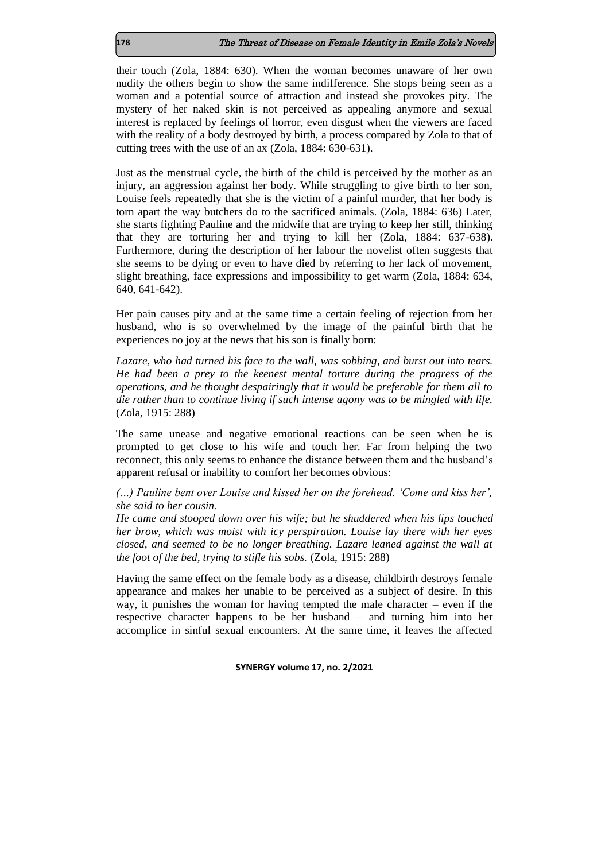their touch (Zola, 1884: 630). When the woman becomes unaware of her own nudity the others begin to show the same indifference. She stops being seen as a woman and a potential source of attraction and instead she provokes pity. The mystery of her naked skin is not perceived as appealing anymore and sexual interest is replaced by feelings of horror, even disgust when the viewers are faced with the reality of a body destroyed by birth, a process compared by Zola to that of cutting trees with the use of an ax (Zola, 1884: 630-631).

Just as the menstrual cycle, the birth of the child is perceived by the mother as an injury, an aggression against her body. While struggling to give birth to her son, Louise feels repeatedly that she is the victim of a painful murder, that her body is torn apart the way butchers do to the sacrificed animals. (Zola, 1884: 636) Later, she starts fighting Pauline and the midwife that are trying to keep her still, thinking that they are torturing her and trying to kill her (Zola, 1884: 637-638). Furthermore, during the description of her labour the novelist often suggests that she seems to be dying or even to have died by referring to her lack of movement, slight breathing, face expressions and impossibility to get warm (Zola, 1884: 634, 640, 641-642).

Her pain causes pity and at the same time a certain feeling of rejection from her husband, who is so overwhelmed by the image of the painful birth that he experiences no joy at the news that his son is finally born:

*Lazare, who had turned his face to the wall, was sobbing, and burst out into tears. He had been a prey to the keenest mental torture during the progress of the operations, and he thought despairingly that it would be preferable for them all to die rather than to continue living if such intense agony was to be mingled with life.* (Zola, 1915: 288)

The same unease and negative emotional reactions can be seen when he is prompted to get close to his wife and touch her. Far from helping the two reconnect, this only seems to enhance the distance between them and the husband's apparent refusal or inability to comfort her becomes obvious:

*(…) Pauline bent over Louise and kissed her on the forehead. 'Come and kiss her', she said to her cousin.*

*He came and stooped down over his wife; but he shuddered when his lips touched her brow, which was moist with icy perspiration. Louise lay there with her eyes closed, and seemed to be no longer breathing. Lazare leaned against the wall at the foot of the bed, trying to stifle his sobs.* (Zola, 1915: 288)

Having the same effect on the female body as a disease, childbirth destroys female appearance and makes her unable to be perceived as a subject of desire. In this way, it punishes the woman for having tempted the male character – even if the respective character happens to be her husband – and turning him into her accomplice in sinful sexual encounters. At the same time, it leaves the affected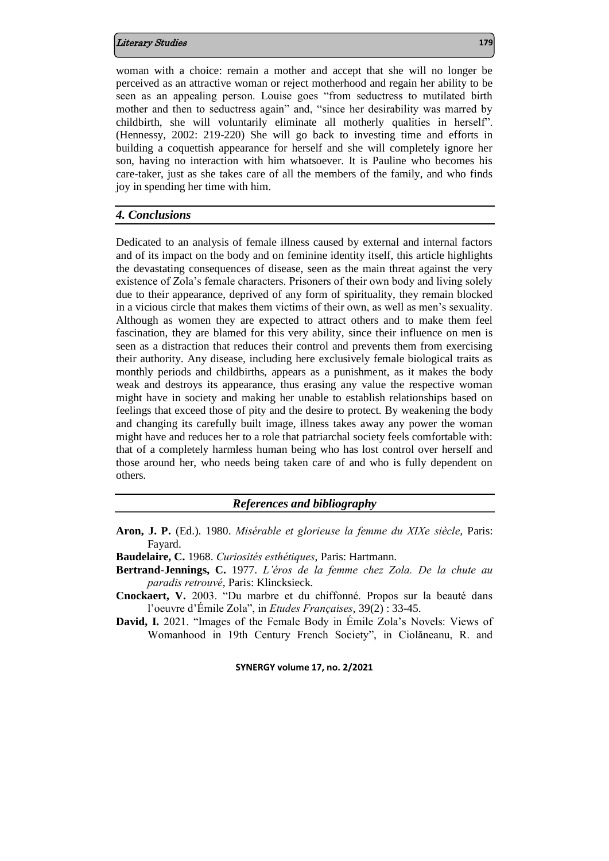### Literary Studies **179**

woman with a choice: remain a mother and accept that she will no longer be perceived as an attractive woman or reject motherhood and regain her ability to be seen as an appealing person. Louise goes "from seductress to mutilated birth mother and then to seductress again" and, "since her desirability was marred by childbirth, she will voluntarily eliminate all motherly qualities in herself". (Hennessy, 2002: 219-220) She will go back to investing time and efforts in building a coquettish appearance for herself and she will completely ignore her son, having no interaction with him whatsoever. It is Pauline who becomes his care-taker, just as she takes care of all the members of the family, and who finds joy in spending her time with him.

### *4. Conclusions*

Dedicated to an analysis of female illness caused by external and internal factors and of its impact on the body and on feminine identity itself, this article highlights the devastating consequences of disease, seen as the main threat against the very existence of Zola's female characters. Prisoners of their own body and living solely due to their appearance, deprived of any form of spirituality, they remain blocked in a vicious circle that makes them victims of their own, as well as men's sexuality. Although as women they are expected to attract others and to make them feel fascination, they are blamed for this very ability, since their influence on men is seen as a distraction that reduces their control and prevents them from exercising their authority. Any disease, including here exclusively female biological traits as monthly periods and childbirths, appears as a punishment, as it makes the body weak and destroys its appearance, thus erasing any value the respective woman might have in society and making her unable to establish relationships based on feelings that exceed those of pity and the desire to protect. By weakening the body and changing its carefully built image, illness takes away any power the woman might have and reduces her to a role that patriarchal society feels comfortable with: that of a completely harmless human being who has lost control over herself and those around her, who needs being taken care of and who is fully dependent on others.

### *References and bibliography*

- **Aron, J. P.** (Ed.). 1980. *Misérable et glorieuse la femme du XIXe siècle,* Paris: Fayard.
- **Baudelaire, C.** 1968. *Curiosités esthétiques*, Paris: Hartmann.
- **Bertrand-Jennings, C.** 1977. *L'éros de la femme chez Zola. De la chute au paradis retrouvé*, Paris: Klincksieck.
- **Cnockaert, V.** 2003. "Du marbre et du chiffonné. Propos sur la beauté dans l'oeuvre d'Émile Zola", in *Etudes Françaises*, 39(2) : 33-45.
- **David, I.** 2021. "Images of the Female Body in Émile Zola's Novels: Views of Womanhood in 19th Century French Society", in Ciolăneanu, R. and